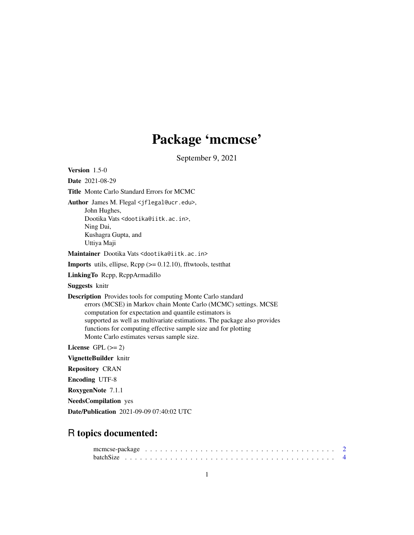# Package 'mcmcse'

September 9, 2021

<span id="page-0-0"></span>Version 1.5-0

Date 2021-08-29

Title Monte Carlo Standard Errors for MCMC

Author James M. Flegal <jflegal@ucr.edu>,

John Hughes, Dootika Vats <dootika@iitk.ac.in>, Ning Dai, Kushagra Gupta, and Uttiya Maji

Maintainer Dootika Vats <dootika@iitk.ac.in>

**Imports** utils, ellipse,  $\text{Rcpp} (> = 0.12.10)$ , fftwtools, testthat

LinkingTo Rcpp, RcppArmadillo

Suggests knitr

Description Provides tools for computing Monte Carlo standard errors (MCSE) in Markov chain Monte Carlo (MCMC) settings. MCSE computation for expectation and quantile estimators is supported as well as multivariate estimations. The package also provides functions for computing effective sample size and for plotting Monte Carlo estimates versus sample size.

License GPL  $(>= 2)$ 

VignetteBuilder knitr

Repository CRAN

Encoding UTF-8

RoxygenNote 7.1.1

NeedsCompilation yes

Date/Publication 2021-09-09 07:40:02 UTC

# R topics documented: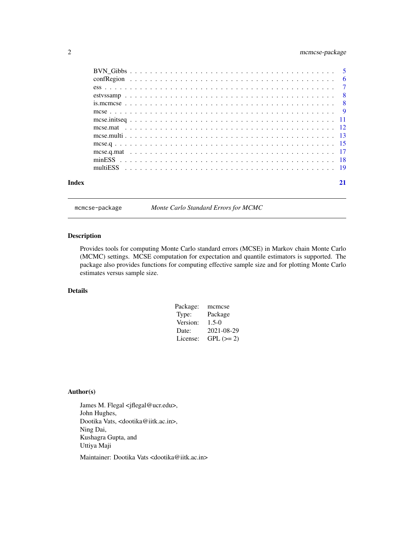# <span id="page-1-0"></span>2 mcmcse-package

| Index | 21 |
|-------|----|
|       |    |
|       |    |
|       |    |
|       |    |
|       |    |
|       |    |
|       |    |
|       |    |
|       |    |
|       |    |
|       |    |
|       |    |
|       |    |

mcmcse-package *Monte Carlo Standard Errors for MCMC*

# Description

Provides tools for computing Monte Carlo standard errors (MCSE) in Markov chain Monte Carlo (MCMC) settings. MCSE computation for expectation and quantile estimators is supported. The package also provides functions for computing effective sample size and for plotting Monte Carlo estimates versus sample size.

# Details

| Package: | mcmcse      |
|----------|-------------|
| Type:    | Package     |
| Version: | $1.5 - 0$   |
| Date:    | 2021-08-29  |
| License: | $GPL (= 2)$ |

# Author(s)

James M. Flegal <jflegal@ucr.edu>, John Hughes, Dootika Vats, <dootika@iitk.ac.in>, Ning Dai, Kushagra Gupta, and Uttiya Maji

Maintainer: Dootika Vats <dootika@iitk.ac.in>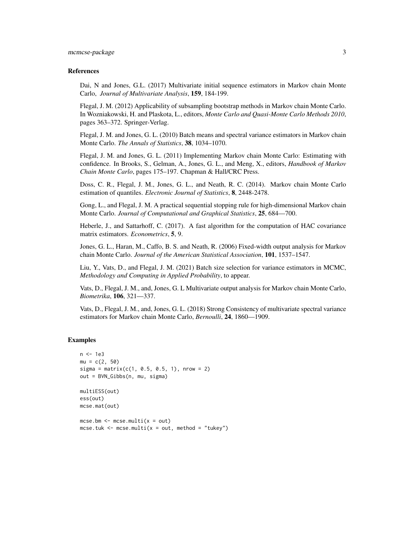#### References

Dai, N and Jones, G.L. (2017) Multivariate initial sequence estimators in Markov chain Monte Carlo, *Journal of Multivariate Analysis*, 159, 184-199.

Flegal, J. M. (2012) Applicability of subsampling bootstrap methods in Markov chain Monte Carlo. In Wozniakowski, H. and Plaskota, L., editors, *Monte Carlo and Quasi-Monte Carlo Methods 2010*, pages 363–372. Springer-Verlag.

Flegal, J. M. and Jones, G. L. (2010) Batch means and spectral variance estimators in Markov chain Monte Carlo. *The Annals of Statistics*, 38, 1034–1070.

Flegal, J. M. and Jones, G. L. (2011) Implementing Markov chain Monte Carlo: Estimating with confidence. In Brooks, S., Gelman, A., Jones, G. L., and Meng, X., editors, *Handbook of Markov Chain Monte Carlo*, pages 175–197. Chapman & Hall/CRC Press.

Doss, C. R., Flegal, J. M., Jones, G. L., and Neath, R. C. (2014). Markov chain Monte Carlo estimation of quantiles. *Electronic Journal of Statistics*, 8, 2448-2478.

Gong, L., and Flegal, J. M. A practical sequential stopping rule for high-dimensional Markov chain Monte Carlo. *Journal of Computational and Graphical Statistics*, 25, 684—700.

Heberle, J., and Sattarhoff, C. (2017). A fast algorithm for the computation of HAC covariance matrix estimators. *Econometrics*, 5, 9.

Jones, G. L., Haran, M., Caffo, B. S. and Neath, R. (2006) Fixed-width output analysis for Markov chain Monte Carlo. *Journal of the American Statistical Association*, 101, 1537–1547.

Liu, Y., Vats, D., and Flegal, J. M. (2021) Batch size selection for variance estimators in MCMC, *Methodology and Computing in Applied Probability*, to appear.

Vats, D., Flegal, J. M., and, Jones, G. L Multivariate output analysis for Markov chain Monte Carlo, *Biometrika*, 106, 321—337.

Vats, D., Flegal, J. M., and, Jones, G. L. (2018) Strong Consistency of multivariate spectral variance estimators for Markov chain Monte Carlo, *Bernoulli*, 24, 1860—1909.

```
n <- 1e3
mu = c(2, 50)sigma = matrix(c(1, 0.5, 0.5, 1), nrow = 2)out = BVN_Gibbs(n, mu, sigma)
multiESS(out)
ess(out)
mcse.mat(out)
mcse.bm < -mcse.multi(x = out)mcse.tuk <- mcse.multi(x = out, method = "tukey")
```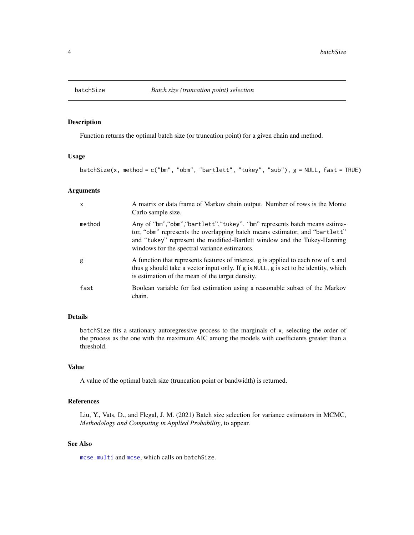<span id="page-3-1"></span><span id="page-3-0"></span>

# Description

Function returns the optimal batch size (or truncation point) for a given chain and method.

#### Usage

batchSize(x, method = c("bm", "obm", "bartlett", "tukey", "sub"), g = NULL, fast = TRUE)

### Arguments

| $\mathsf{x}$ | A matrix or data frame of Markov chain output. Number of rows is the Monte<br>Carlo sample size.                                                                                                                                                                                         |
|--------------|------------------------------------------------------------------------------------------------------------------------------------------------------------------------------------------------------------------------------------------------------------------------------------------|
| method       | Any of "bm", "obm", "bartlett", "tukey". "bm" represents batch means estima-<br>tor, "obm" represents the overlapping batch means estimator, and "bartlett"<br>and "tukey" represent the modified-Bartlett window and the Tukey-Hanning<br>windows for the spectral variance estimators. |
| g            | A function that represents features of interest, g is applied to each row of x and<br>thus g should take a vector input only. If g is NULL, g is set to be identity, which<br>is estimation of the mean of the target density.                                                           |
| fast         | Boolean variable for fast estimation using a reasonable subset of the Markov<br>chain.                                                                                                                                                                                                   |

# Details

batchSize fits a stationary autoregressive process to the marginals of x, selecting the order of the process as the one with the maximum AIC among the models with coefficients greater than a threshold.

# Value

A value of the optimal batch size (truncation point or bandwidth) is returned.

# References

Liu, Y., Vats, D., and Flegal, J. M. (2021) Batch size selection for variance estimators in MCMC, *Methodology and Computing in Applied Probability*, to appear.

#### See Also

[mcse.multi](#page-12-1) and [mcse](#page-8-1), which calls on batchSize.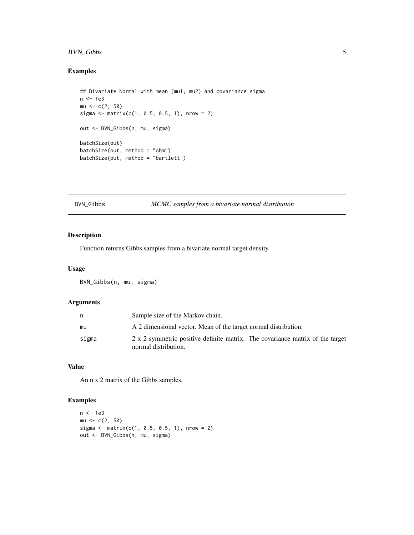# <span id="page-4-0"></span>BVN\_Gibbs 5

# Examples

```
## Bivariate Normal with mean (mu1, mu2) and covariance sigma
n <- 1e3
mu < -c(2, 50)sigma <- matrix(c(1, 0.5, 0.5, 1), nrow = 2)
out <- BVN_Gibbs(n, mu, sigma)
batchSize(out)
batchSize(out, method = "obm")
batchSize(out, method = "bartlett")
```
# BVN\_Gibbs *MCMC samples from a bivariate normal distribution*

# Description

Function returns Gibbs samples from a bivariate normal target density.

#### Usage

BVN\_Gibbs(n, mu, sigma)

# Arguments

| n     | Sample size of the Markov chain.                                                                      |
|-------|-------------------------------------------------------------------------------------------------------|
| mu    | A 2 dimensional vector. Mean of the target normal distribution.                                       |
| sigma | 2 x 2 symmetric positive definite matrix. The covariance matrix of the target<br>normal distribution. |

# Value

An n x 2 matrix of the Gibbs samples.

```
n <- 1e3
mu < -c(2, 50)sigma \leq matrix(c(1, 0.5, 0.5, 1), nrow = 2)
out <- BVN_Gibbs(n, mu, sigma)
```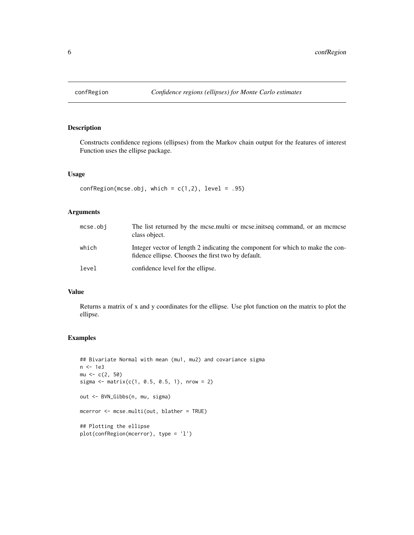<span id="page-5-0"></span>

# Description

Constructs confidence regions (ellipses) from the Markov chain output for the features of interest Function uses the ellipse package.

### Usage

```
confRegion(mcse.obj, which = c(1,2), level = .95)
```
# Arguments

| $mcse.$ obj | The list returned by the mcse, multi or mcse, in the command, or an memore<br>class object.                                          |
|-------------|--------------------------------------------------------------------------------------------------------------------------------------|
| which       | Integer vector of length 2 indicating the component for which to make the con-<br>fidence ellipse. Chooses the first two by default. |
| level       | confidence level for the ellipse.                                                                                                    |

#### Value

Returns a matrix of x and y coordinates for the ellipse. Use plot function on the matrix to plot the ellipse.

```
## Bivariate Normal with mean (mu1, mu2) and covariance sigma
n <- 1e3
mu < -c(2, 50)sigma <- matrix(c(1, 0.5, 0.5, 1), nrow = 2)
out <- BVN_Gibbs(n, mu, sigma)
mcerror <- mcse.multi(out, blather = TRUE)
## Plotting the ellipse
plot(confRegion(mcerror), type = 'l')
```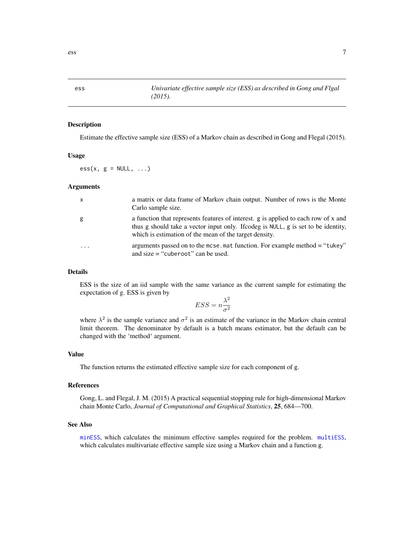#### Description

Estimate the effective sample size (ESS) of a Markov chain as described in Gong and Flegal (2015).

# Usage

 $ess(x, g = NULL, ...)$ 

#### Arguments

| x        | a matrix or data frame of Markov chain output. Number of rows is the Monte<br>Carlo sample size.                                                                                                                                   |
|----------|------------------------------------------------------------------------------------------------------------------------------------------------------------------------------------------------------------------------------------|
| g        | a function that represents features of interest. g is applied to each row of x and<br>thus g should take a vector input only. If codeg is NULL, g is set to be identity,<br>which is estimation of the mean of the target density. |
| $\cdots$ | arguments passed on to the mcse. mat function. For example method = "tukey"<br>and size $=$ "cuberoot" can be used.                                                                                                                |

# Details

ESS is the size of an iid sample with the same variance as the current sample for estimating the expectation of g. ESS is given by

$$
ESS = n\frac{\lambda^2}{\sigma^2}
$$

where  $\lambda^2$  is the sample variance and  $\sigma^2$  is an estimate of the variance in the Markov chain central limit theorem. The denominator by default is a batch means estimator, but the default can be changed with the 'method' argument.

#### Value

The function returns the estimated effective sample size for each component of g.

#### References

Gong, L. and Flegal, J. M. (2015) A practical sequential stopping rule for high-dimensional Markov chain Monte Carlo, *Journal of Computational and Graphical Statistics*, 25, 684—700.

#### See Also

[minESS](#page-17-1), which calculates the minimum effective samples required for the problem. [multiESS](#page-18-1), which calculates multivariate effective sample size using a Markov chain and a function g.

<span id="page-6-1"></span><span id="page-6-0"></span>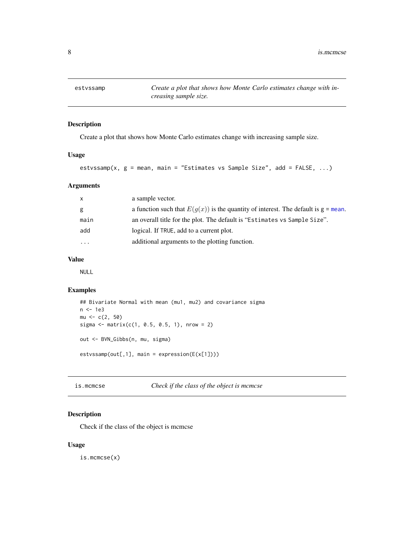<span id="page-7-0"></span>estvssamp *Create a plot that shows how Monte Carlo estimates change with increasing sample size.*

# Description

Create a plot that shows how Monte Carlo estimates change with increasing sample size.

#### Usage

```
estvssamp(x, g = mean, main = "Estimates vs Sample Size", add = FALSE, ...)
```
# Arguments

| $\mathsf{X}$ | a sample vector.                                                                               |
|--------------|------------------------------------------------------------------------------------------------|
| g            | a function such that $E(g(x))$ is the quantity of interest. The default is $g = \text{mean}$ . |
| main         | an overall title for the plot. The default is "Estimates vs Sample Size".                      |
| add          | logical. If TRUE, add to a current plot.                                                       |
| $\cdots$     | additional arguments to the plotting function.                                                 |
|              |                                                                                                |

# Value

NULL

# Examples

```
## Bivariate Normal with mean (mu1, mu2) and covariance sigma
n <- 1e3
mu < -c(2, 50)sigma \leq matrix(c(1, 0.5, 0.5, 1), nrow = 2)
out <- BVN_Gibbs(n, mu, sigma)
estvssamp(out[,1], main = expression(E(x[1]))
```
is.mcmcse *Check if the class of the object is mcmcse*

# Description

Check if the class of the object is mcmcse

# Usage

is.mcmcse(x)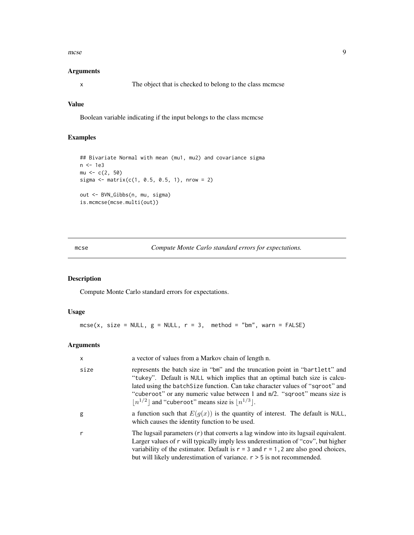<span id="page-8-0"></span>mcse 9

#### Arguments

x The object that is checked to belong to the class mcmcse

# Value

Boolean variable indicating if the input belongs to the class mcmcse

# Examples

```
## Bivariate Normal with mean (mu1, mu2) and covariance sigma
n <- 1e3
mu < -c(2, 50)sigma <- matrix(c(1, 0.5, 0.5, 1), nrow = 2)
out <- BVN_Gibbs(n, mu, sigma)
is.mcmcse(mcse.multi(out))
```
<span id="page-8-1"></span>mcse *Compute Monte Carlo standard errors for expectations.*

# Description

Compute Monte Carlo standard errors for expectations.

# Usage

```
mcse(x, size = NULL, g = NULL, r = 3, method = "bm", warn = FALSE)
```
# Arguments

| x    | a vector of values from a Markov chain of length n.                                                                                                                                                                                                                                                                                                                                  |
|------|--------------------------------------------------------------------------------------------------------------------------------------------------------------------------------------------------------------------------------------------------------------------------------------------------------------------------------------------------------------------------------------|
| size | represents the batch size in "bm" and the truncation point in "bartlett" and<br>"tukey". Default is NULL which implies that an optimal batch size is calcu-<br>lated using the batch Size function. Can take character values of "sqroot" and<br>"cuberoot" or any numeric value between 1 and n/2. "sqroot" means size is<br>$ n^{1/2} $ and "cuberoot" means size is $ n^{1/3} $ . |
| g    | a function such that $E(g(x))$ is the quantity of interest. The default is NULL,<br>which causes the identity function to be used.                                                                                                                                                                                                                                                   |
| r    | The lugsail parameters $(r)$ that converts a lag window into its lugsail equivalent.<br>Larger values of r will typically imply less underestimation of "cov", but higher<br>variability of the estimator. Default is $r = 3$ and $r = 1$ , 2 are also good choices,<br>but will likely underestimation of variance. $r > 5$ is not recommended.                                     |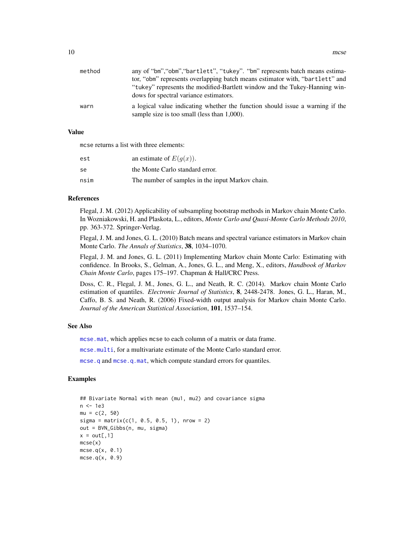<span id="page-9-0"></span>

| method | any of "bm", "obm", "bartlett", "tukey". "bm" represents batch means estima-                                                 |
|--------|------------------------------------------------------------------------------------------------------------------------------|
|        | tor, "obm" represents overlapping batch means estimator with, "bartlett" and                                                 |
|        | "tukey" represents the modified-Bartlett window and the Tukey-Hanning win-                                                   |
|        | dows for spectral variance estimators.                                                                                       |
| warn   | a logical value indicating whether the function should issue a warning if the<br>sample size is too small (less than 1,000). |

#### Value

mcse returns a list with three elements:

| est  | an estimate of $E(g(x))$ .                       |
|------|--------------------------------------------------|
| se   | the Monte Carlo standard error.                  |
| nsim | The number of samples in the input Markov chain. |

#### References

Flegal, J. M. (2012) Applicability of subsampling bootstrap methods in Markov chain Monte Carlo. In Wozniakowski, H. and Plaskota, L., editors, *Monte Carlo and Quasi-Monte Carlo Methods 2010*, pp. 363-372. Springer-Verlag.

Flegal, J. M. and Jones, G. L. (2010) Batch means and spectral variance estimators in Markov chain Monte Carlo. *The Annals of Statistics*, 38, 1034–1070.

Flegal, J. M. and Jones, G. L. (2011) Implementing Markov chain Monte Carlo: Estimating with confidence. In Brooks, S., Gelman, A., Jones, G. L., and Meng, X., editors, *Handbook of Markov Chain Monte Carlo*, pages 175–197. Chapman & Hall/CRC Press.

Doss, C. R., Flegal, J. M., Jones, G. L., and Neath, R. C. (2014). Markov chain Monte Carlo estimation of quantiles. *Electronic Journal of Statistics*, 8, 2448-2478. Jones, G. L., Haran, M., Caffo, B. S. and Neath, R. (2006) Fixed-width output analysis for Markov chain Monte Carlo. *Journal of the American Statistical Association*, 101, 1537–154.

#### See Also

[mcse.mat](#page-11-1), which applies mcse to each column of a matrix or data frame.

[mcse.multi](#page-12-1), for a multivariate estimate of the Monte Carlo standard error.

[mcse.q](#page-14-1) and [mcse.q.mat](#page-16-1), which compute standard errors for quantiles.

```
## Bivariate Normal with mean (mu1, mu2) and covariance sigma
n <- 1e3
mu = c(2, 50)sigma = matrix(c(1, 0.5, 0.5, 1), nrow = 2)out = BVN_Gibbs(n, mu, sigma)
x = out[, 1]mcse(x)
mcse.q(x, 0.1)mcse.q(x, 0.9)
```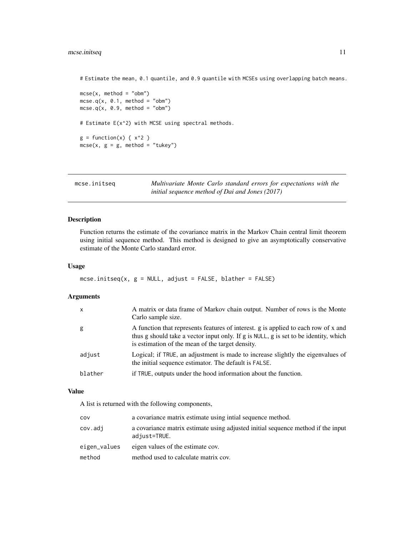# <span id="page-10-0"></span>mcse.initseq 11

# Estimate the mean, 0.1 quantile, and 0.9 quantile with MCSEs using overlapping batch means.

```
mcse(x, method = "obm")mcse.q(x, 0.1, method = "obm")mcse.q(x, 0.9, method = "obm")# Estimate E(x^2) with MCSE using spectral methods.
g = function(x) { x^2 }mcse(x, g = g, method = "tukey")
```
<span id="page-10-1"></span>

| mcse.initseg | Multivariate Monte Carlo standard errors for expectations with the |
|--------------|--------------------------------------------------------------------|
|              | initial sequence method of Dai and Jones (2017)                    |

# Description

Function returns the estimate of the covariance matrix in the Markov Chain central limit theorem using initial sequence method. This method is designed to give an asymptotically conservative estimate of the Monte Carlo standard error.

#### Usage

```
mcse.initseq(x, g = NULL, adjust = FALSE, blather = FALSE)
```
# Arguments

| g<br>is estimation of the mean of the target density.<br>adjust<br>the initial sequence estimator. The default is FALSE.<br>blather<br>if TRUE, outputs under the hood information about the function. | $\mathsf{x}$ | A matrix or data frame of Markov chain output. Number of rows is the Monte<br>Carlo sample size.                                                                           |
|--------------------------------------------------------------------------------------------------------------------------------------------------------------------------------------------------------|--------------|----------------------------------------------------------------------------------------------------------------------------------------------------------------------------|
|                                                                                                                                                                                                        |              | A function that represents features of interest. g is applied to each row of x and<br>thus g should take a vector input only. If g is NULL, g is set to be identity, which |
|                                                                                                                                                                                                        |              | Logical; if TRUE, an adjustment is made to increase slightly the eigenvalues of                                                                                            |
|                                                                                                                                                                                                        |              |                                                                                                                                                                            |

# Value

A list is returned with the following components,

| cov          | a covariance matrix estimate using intial sequence method.                                       |
|--------------|--------------------------------------------------------------------------------------------------|
| cov.adi      | a covariance matrix estimate using adjusted initial sequence method if the input<br>adjust=TRUE. |
| eigen_values | eigen values of the estimate cov.                                                                |
| method       | method used to calculate matrix cov.                                                             |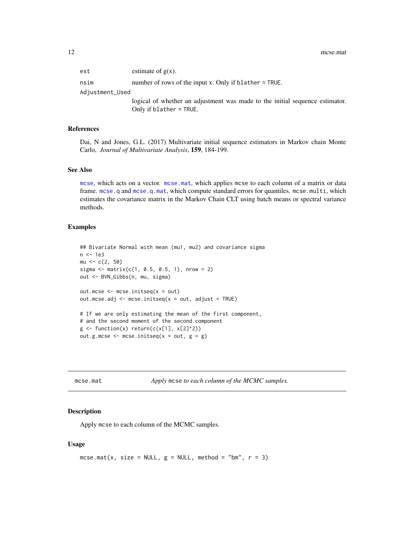<span id="page-11-0"></span> $est$  estimate of  $g(x)$ . nsim number of rows of the input x. Only if blather = TRUE. Adjustment\_Used logical of whether an adjustment was made to the initial sequence estimator. Only if blather = TRUE.

#### References

Dai, N and Jones, G.L. (2017) Multivariate initial sequence estimators in Markov chain Monte Carlo, *Journal of Multivariate Analysis*, 159, 184-199.

#### See Also

[mcse](#page-8-1), which acts on a vector. [mcse.mat](#page-11-1), which applies mcse to each column of a matrix or data frame. [mcse.q](#page-14-1) and [mcse.q.mat](#page-16-1), which compute standard errors for quantiles. mcse.multi, which estimates the covariance matrix in the Markov Chain CLT using batch means or spectral variance methods.

# Examples

```
## Bivariate Normal with mean (mu1, mu2) and covariance sigma
n <- 1e3
mu < -c(2, 50)sigma \leq matrix(c(1, 0.5, 0.5, 1), nrow = 2)
out <- BVN_Gibbs(n, mu, sigma)
out.mcse <- mcse.initseq(x = out)
out.mcse.adj <- mcse.initseq(x = out, adjust = TRUE)
# If we are only estimating the mean of the first component,
# and the second moment of the second component
g \leftarrow function(x) return(c(x[1], x[2]^2))out.g.mcse \leq mcse.initseq(x = out, g = g)
```
<span id="page-11-1"></span>mcse.mat *Apply* mcse *to each column of the MCMC samples.*

#### Description

Apply mcse to each column of the MCMC samples.

#### Usage

```
mcse.mat(x, size = NULL, g = NULL, method = "bm", r = 3)
```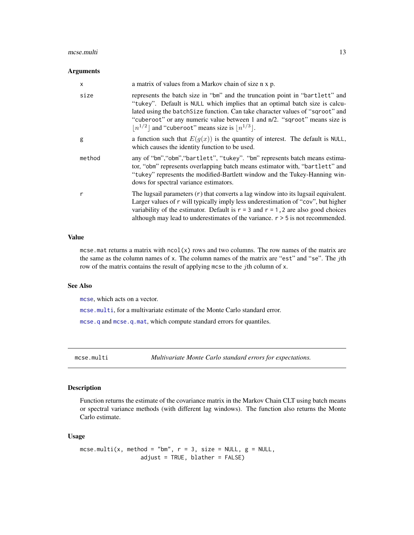#### <span id="page-12-0"></span>mcse.multi and the contract of the contract of the contract of the contract of the contract of the contract of the contract of the contract of the contract of the contract of the contract of the contract of the contract of

#### Arguments

| $\times$ | a matrix of values from a Markov chain of size n x p.                                                                                                                                                                                                                                                                                                                                |
|----------|--------------------------------------------------------------------------------------------------------------------------------------------------------------------------------------------------------------------------------------------------------------------------------------------------------------------------------------------------------------------------------------|
| size     | represents the batch size in "bm" and the truncation point in "bartlett" and<br>"tukey". Default is NULL which implies that an optimal batch size is calcu-<br>lated using the batch Size function. Can take character values of "sqroot" and<br>"cuberoot" or any numeric value between 1 and n/2. "sqroot" means size is<br>$ n^{1/2} $ and "cuberoot" means size is $ n^{1/3} $ . |
| g        | a function such that $E(g(x))$ is the quantity of interest. The default is NULL,<br>which causes the identity function to be used.                                                                                                                                                                                                                                                   |
| method   | any of "bm", "obm", "bartlett", "tukey". "bm" represents batch means estima-<br>tor, "obm" represents overlapping batch means estimator with, "bartlett" and<br>"tukey" represents the modified-Bartlett window and the Tukey-Hanning win-<br>dows for spectral variance estimators.                                                                                                 |
| r        | The lugsail parameters $(r)$ that converts a lag window into its lugsail equivalent.<br>Larger values of r will typically imply less underestimation of "cov", but higher<br>variability of the estimator. Default is $r = 3$ and $r = 1$ , 2 are also good choices<br>although may lead to underestimates of the variance. $r > 5$ is not recommended.                              |

### Value

mcse.mat returns a matrix with  $ncol(x)$  rows and two columns. The row names of the matrix are the same as the column names of x. The column names of the matrix are "est" and "se". The jth row of the matrix contains the result of applying mcse to the jth column of x.

# See Also

[mcse](#page-8-1), which acts on a vector.

[mcse.multi](#page-12-1), for a multivariate estimate of the Monte Carlo standard error.

[mcse.q](#page-14-1) and [mcse.q.mat](#page-16-1), which compute standard errors for quantiles.

<span id="page-12-1"></span>mcse.multi *Multivariate Monte Carlo standard errors for expectations.*

#### Description

Function returns the estimate of the covariance matrix in the Markov Chain CLT using batch means or spectral variance methods (with different lag windows). The function also returns the Monte Carlo estimate.

#### Usage

```
mcse.multi(x, method = "bm", r = 3, size = NULL, g = NULL,
                  adjust = TRUE, blather = FALSE)
```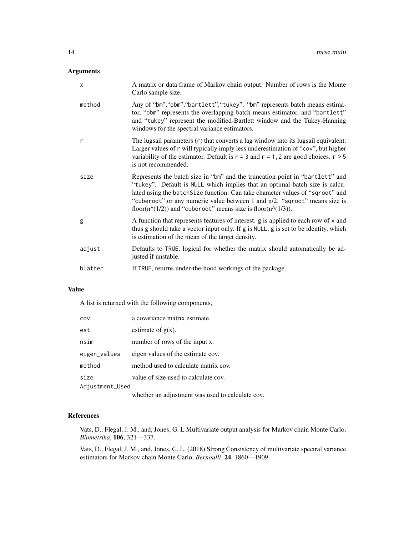# Arguments

| X       | A matrix or data frame of Markov chain output. Number of rows is the Monte<br>Carlo sample size.                                                                                                                                                                                                                                                                                                                  |
|---------|-------------------------------------------------------------------------------------------------------------------------------------------------------------------------------------------------------------------------------------------------------------------------------------------------------------------------------------------------------------------------------------------------------------------|
| method  | Any of "bm", "obm", "bartlett", "tukey". "bm" represents batch means estima-<br>tor, "obm" represents the overlapping batch means estimator, and "bartlett"<br>and "tukey" represent the modified-Bartlett window and the Tukey-Hanning<br>windows for the spectral variance estimators.                                                                                                                          |
| r       | The lugsail parameters $(r)$ that converts a lag window into its lugsail equivalent.<br>Larger values of r will typically imply less underestimation of "cov", but higher<br>variability of the estimator. Default is $r = 3$ and $r = 1$ , 2 are good choices. $r > 5$<br>is not recommended.                                                                                                                    |
| size    | Represents the batch size in "bm" and the truncation point in "bartlett" and<br>"tukey". Default is NULL which implies that an optimal batch size is calcu-<br>lated using the batch Size function. Can take character values of "sqroot" and<br>"cuberoot" or any numeric value between 1 and n/2. "sqroot" means size is<br>floor( $n^{\wedge}(1/2)$ ) and "cuberoot" means size is floor( $n^{\wedge}(1/3)$ ). |
| g       | A function that represents features of interest. g is applied to each row of x and<br>thus g should take a vector input only. If g is NULL, g is set to be identity, which<br>is estimation of the mean of the target density.                                                                                                                                                                                    |
| adjust  | Defaults to TRUE. logical for whether the matrix should automatically be ad-<br>justed if unstable.                                                                                                                                                                                                                                                                                                               |
| blather | If TRUE, returns under-the-hood workings of the package.                                                                                                                                                                                                                                                                                                                                                          |

#### Value

A list is returned with the following components,

| COV             | a covariance matrix estimate.        |
|-----------------|--------------------------------------|
| est             | estimate of $g(x)$ .                 |
| nsim            | number of rows of the input x.       |
| eigen_values    | eigen values of the estimate cov.    |
| method          | method used to calculate matrix cov. |
| size            | value of size used to calculate cov. |
| Adjustment_Used |                                      |
|                 |                                      |

whether an adjustment was used to calculate cov.

# References

Vats, D., Flegal, J. M., and, Jones, G. L Multivariate output analysis for Markov chain Monte Carlo, *Biometrika*, 106, 321—337.

Vats, D., Flegal, J. M., and, Jones, G. L. (2018) Strong Consistency of multivariate spectral variance estimators for Markov chain Monte Carlo, *Bernoulli*, 24, 1860—1909.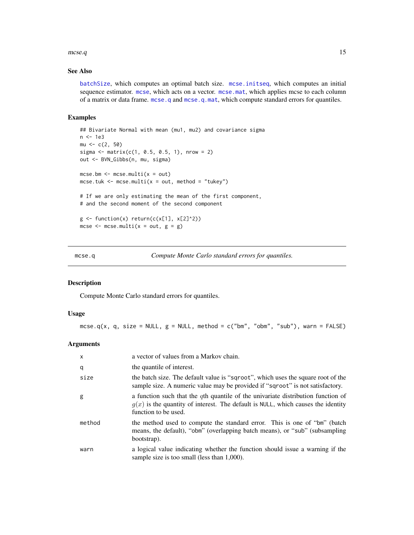#### <span id="page-14-0"></span> $\text{mcse}.q$  15

# See Also

[batchSize](#page-3-1), which computes an optimal batch size. [mcse.initseq](#page-10-1), which computes an initial sequence estimator. [mcse](#page-8-1), which acts on a vector. [mcse.mat](#page-11-1), which applies mcse to each column of a matrix or data frame. [mcse.q](#page-14-1) and [mcse.q.mat](#page-16-1), which compute standard errors for quantiles.

#### Examples

```
## Bivariate Normal with mean (mu1, mu2) and covariance sigma
n <- 1e3
mu < -c(2, 50)sigma <- matrix(c(1, 0.5, 0.5, 1), nrow = 2)
out <- BVN_Gibbs(n, mu, sigma)
mcse.bm <- mcse.multi(x = out)
mcse.tuk <- mcse.multi(x = out, method = "tukey")
# If we are only estimating the mean of the first component,
# and the second moment of the second component
g \leftarrow function(x) return(c(x[1], x[2]^2))mcse \leq mcse.multi(x = out, g = g)
```
<span id="page-14-1"></span>mcse.q *Compute Monte Carlo standard errors for quantiles.*

# Description

Compute Monte Carlo standard errors for quantiles.

#### Usage

```
mcse.q(x, q, size = NULL, g = NULL, method = c("bm", "obm", "sub"), warn = FALSE)
```
### Arguments

| $\mathsf{x}$ | a vector of values from a Markov chain.                                                                                                                                                           |
|--------------|---------------------------------------------------------------------------------------------------------------------------------------------------------------------------------------------------|
| q            | the quantile of interest.                                                                                                                                                                         |
| size         | the batch size. The default value is "sqroot", which uses the square root of the<br>sample size. A numeric value may be provided if "sqroot" is not satisfactory.                                 |
| g            | a function such that the $q$ th quantile of the univariate distribution function of<br>$g(x)$ is the quantity of interest. The default is NULL, which causes the identity<br>function to be used. |
| method       | the method used to compute the standard error. This is one of "bm" (batch<br>means, the default), "obm" (overlapping batch means), or "sub" (subsampling<br>bootstrap).                           |
| warn         | a logical value indicating whether the function should issue a warning if the<br>sample size is too small (less than 1,000).                                                                      |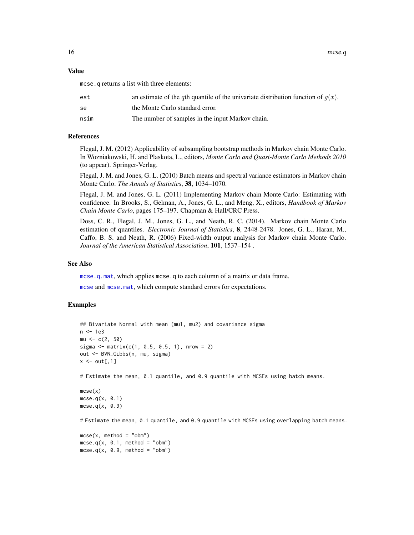<span id="page-15-0"></span>16 mcse.q

#### Value

mcse.q returns a list with three elements:

| est  | an estimate of the qth quantile of the univariate distribution function of $q(x)$ . |
|------|-------------------------------------------------------------------------------------|
| se   | the Monte Carlo standard error.                                                     |
| nsim | The number of samples in the input Markov chain.                                    |

#### References

Flegal, J. M. (2012) Applicability of subsampling bootstrap methods in Markov chain Monte Carlo. In Wozniakowski, H. and Plaskota, L., editors, *Monte Carlo and Quasi-Monte Carlo Methods 2010* (to appear). Springer-Verlag.

Flegal, J. M. and Jones, G. L. (2010) Batch means and spectral variance estimators in Markov chain Monte Carlo. *The Annals of Statistics*, 38, 1034–1070.

Flegal, J. M. and Jones, G. L. (2011) Implementing Markov chain Monte Carlo: Estimating with confidence. In Brooks, S., Gelman, A., Jones, G. L., and Meng, X., editors, *Handbook of Markov Chain Monte Carlo*, pages 175–197. Chapman & Hall/CRC Press.

Doss, C. R., Flegal, J. M., Jones, G. L., and Neath, R. C. (2014). Markov chain Monte Carlo estimation of quantiles. *Electronic Journal of Statistics*, 8, 2448-2478. Jones, G. L., Haran, M., Caffo, B. S. and Neath, R. (2006) Fixed-width output analysis for Markov chain Monte Carlo. *Journal of the American Statistical Association*, 101, 1537–154 .

#### See Also

[mcse.q.mat](#page-16-1), which applies mcse.q to each column of a matrix or data frame.

[mcse](#page-8-1) and [mcse.mat](#page-11-1), which compute standard errors for expectations.

```
## Bivariate Normal with mean (mu1, mu2) and covariance sigma
n <- 1e3
mu < -c(2, 50)sigma <- matrix(c(1, 0.5, 0.5, 1), nrow = 2)
out <- BVN_Gibbs(n, mu, sigma)
x \leftarrow out[, 1]# Estimate the mean, 0.1 quantile, and 0.9 quantile with MCSEs using batch means.
mcse(x)
mcse.q(x, 0.1)
mcse.q(x, 0.9)# Estimate the mean, 0.1 quantile, and 0.9 quantile with MCSEs using overlapping batch means.
mcse(x, method = "obm")mcse.q(x, 0.1, method = "obm")mcse.q(x, 0.9, method = "obm")
```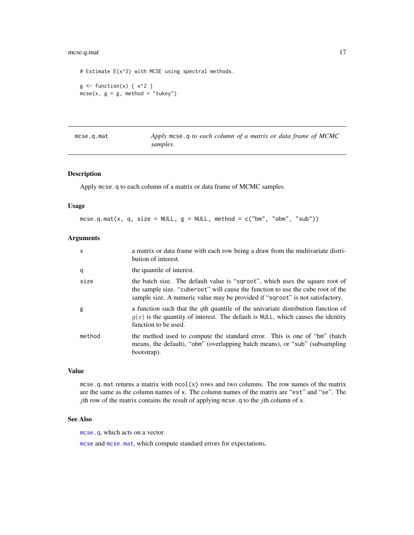# <span id="page-16-0"></span>mcse.q.mat 17

```
# Estimate E(x^2) with MCSE using spectral methods.
g \leftarrow function(x) \{ x^2 \}mcse(x, g = g, method = "tukey")
```
<span id="page-16-1"></span>

| $m$ cse.q.mat |  |
|---------------|--|
|---------------|--|

Apply mcse.q to each column of a matrix or data frame of MCMC *samples.*

# Description

Apply mcse.q to each column of a matrix or data frame of MCMC samples.

#### Usage

mcse.q.mat(x, q, size = NULL,  $g =$  NULL, method = c("bm", "obm", "sub"))

# Arguments

| $\mathsf{x}$ | a matrix or data frame with each row being a draw from the multivariate distri-<br>bution of interest.                                                                                                                                           |
|--------------|--------------------------------------------------------------------------------------------------------------------------------------------------------------------------------------------------------------------------------------------------|
| q            | the quantile of interest.                                                                                                                                                                                                                        |
| size         | the batch size. The default value is "sqroot", which uses the square root of<br>the sample size. "cuberoot" will cause the function to use the cube root of the<br>sample size. A numeric value may be provided if "sqroot" is not satisfactory. |
| g            | a function such that the $q$ th quantile of the univariate distribution function of<br>$g(x)$ is the quantity of interest. The default is NULL, which causes the identity<br>function to be used.                                                |
| method       | the method used to compute the standard error. This is one of "bm" (batch<br>means, the default), "obm" (overlapping batch means), or "sub" (subsampling<br>bootstrap).                                                                          |

### Value

mcse.q.mat returns a matrix with  $ncol(x)$  rows and two columns. The row names of the matrix are the same as the column names of x. The column names of the matrix are "est" and "se". The jth row of the matrix contains the result of applying mcse.q to the jth column of  $x$ .

#### See Also

[mcse.q](#page-14-1), which acts on a vector.

[mcse](#page-8-1) and [mcse.mat](#page-11-1), which compute standard errors for expectations.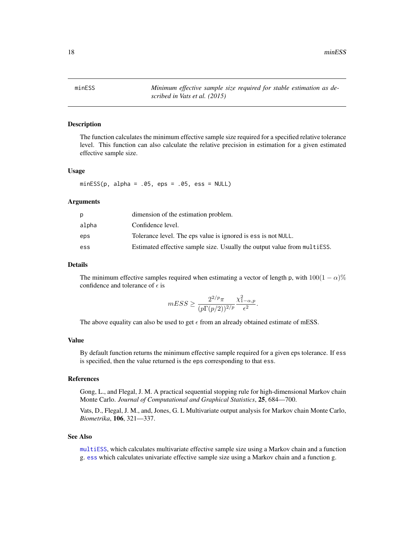<span id="page-17-0"></span>18 minESS

<span id="page-17-1"></span>minESS *Minimum effective sample size required for stable estimation as described in Vats et al. (2015)*

#### Description

The function calculates the minimum effective sample size required for a specified relative tolerance level. This function can also calculate the relative precision in estimation for a given estimated effective sample size.

#### Usage

 $minESS(p, alpha = .05,eps = .05, ess = NULL)$ 

#### Arguments

| D.    | dimension of the estimation problem.                                     |
|-------|--------------------------------------------------------------------------|
| alpha | Confidence level.                                                        |
| eps   | Tolerance level. The eps value is ignored is ess is not NULL.            |
| ess   | Estimated effective sample size. Usually the output value from multiESS. |

# Details

The minimum effective samples required when estimating a vector of length p, with  $100(1 - \alpha)\%$ confidence and tolerance of  $\epsilon$  is

$$
mESS \ge \frac{2^{2/p}\pi}{(p\Gamma(p/2))^{2/p}} \frac{\chi^2_{1-\alpha,p}}{\epsilon^2}.
$$

The above equality can also be used to get  $\epsilon$  from an already obtained estimate of mESS.

#### Value

By default function returns the minimum effective sample required for a given eps tolerance. If ess is specified, then the value returned is the eps corresponding to that ess.

### References

Gong, L., and Flegal, J. M. A practical sequential stopping rule for high-dimensional Markov chain Monte Carlo. *Journal of Computational and Graphical Statistics*, 25, 684—700.

Vats, D., Flegal, J. M., and, Jones, G. L Multivariate output analysis for Markov chain Monte Carlo, *Biometrika*, 106, 321—337.

#### See Also

[multiESS](#page-18-1), which calculates multivariate effective sample size using a Markov chain and a function g. [ess](#page-6-1) which calculates univariate effective sample size using a Markov chain and a function g.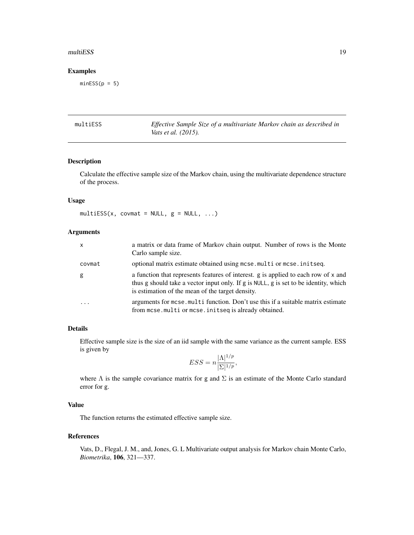#### <span id="page-18-0"></span>multiESS and the state of the state of the state of the state of the state of the state of the state of the state of the state of the state of the state of the state of the state of the state of the state of the state of t

# Examples

 $minESS(p = 5)$ 

<span id="page-18-1"></span>

| multiESS | Effective Sample Size of a multivariate Markov chain as described in |
|----------|----------------------------------------------------------------------|
|          | <i>Vats et al.</i> (2015).                                           |

# Description

Calculate the effective sample size of the Markov chain, using the multivariate dependence structure of the process.

# Usage

multiESS( $x$ , covmat = NULL,  $g =$  NULL, ...)

# Arguments

| x          | a matrix or data frame of Markov chain output. Number of rows is the Monte<br>Carlo sample size.                                                                                                                               |
|------------|--------------------------------------------------------------------------------------------------------------------------------------------------------------------------------------------------------------------------------|
| covmat     | optional matrix estimate obtained using mcse.multior mcse.initseq.                                                                                                                                                             |
| g          | a function that represents features of interest. g is applied to each row of x and<br>thus g should take a vector input only. If g is NULL, g is set to be identity, which<br>is estimation of the mean of the target density. |
| $\ddots$ . | arguments for mose multi function. Don't use this if a suitable matrix estimate<br>from mcse.multi or mcse.initseq is already obtained.                                                                                        |

# Details

Effective sample size is the size of an iid sample with the same variance as the current sample. ESS is given by

$$
ESS = n \frac{|\Lambda|^{1/p}}{|\Sigma|^{1/p}},
$$

where  $\Lambda$  is the sample covariance matrix for g and  $\Sigma$  is an estimate of the Monte Carlo standard error for g.

# Value

The function returns the estimated effective sample size.

#### References

Vats, D., Flegal, J. M., and, Jones, G. L Multivariate output analysis for Markov chain Monte Carlo, *Biometrika*, 106, 321—337.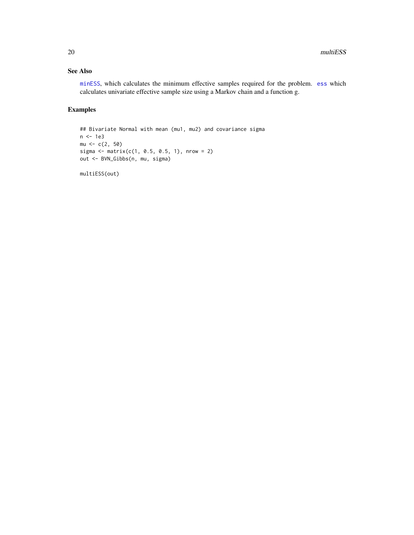# <span id="page-19-0"></span>See Also

[minESS](#page-17-1), which calculates the minimum effective samples required for the problem. [ess](#page-6-1) which calculates univariate effective sample size using a Markov chain and a function g.

# Examples

```
## Bivariate Normal with mean (mu1, mu2) and covariance sigma
n <- 1e3
mu < -c(2, 50)sigma <- matrix(c(1, 0.5, 0.5, 1), nrow = 2)
out <- BVN_Gibbs(n, mu, sigma)
```
multiESS(out)